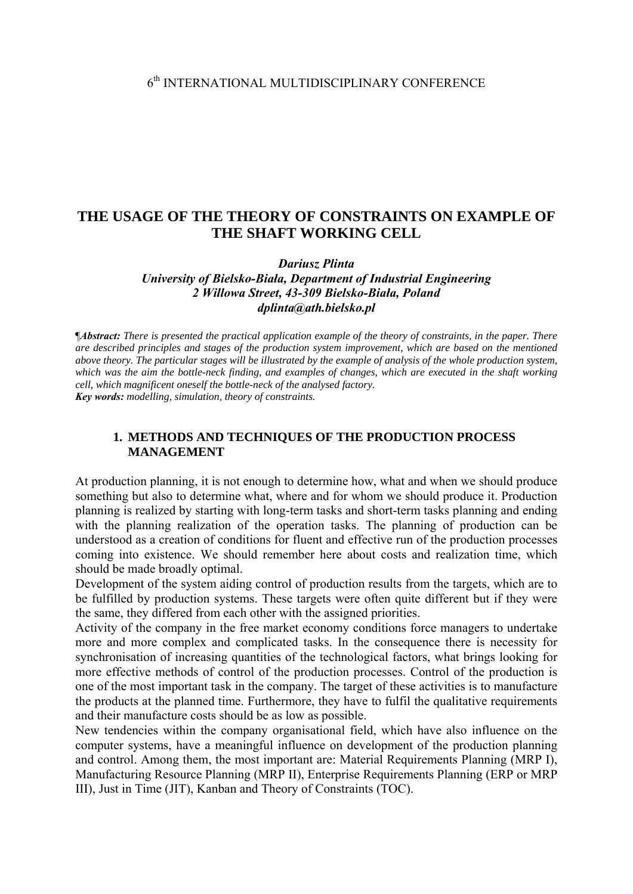# **THE USAGE OF THE THEORY OF CONSTRAINTS ON EXAMPLE OF THE SHAFT WORKING CELL**

*Dariusz Plinta* 

*University of Bielsko-Biała, Department of Industrial Engineering 2 Willowa Street, 43-309 Bielsko-Biała, Poland dplinta@ath.bielsko.pl*

¶*Abstract: There is presented the practical application example of the theory of constraints, in the paper. There are described principles and stages of the production system improvement, which are based on the mentioned above theory. The particular stages will be illustrated by the example of analysis of the whole production system, which was the aim the bottle-neck finding, and examples of changes, which are executed in the shaft working cell, which magnificent oneself the bottle-neck of the analysed factory. Key words: modelling, simulation, theory of constraints.*

#### **1. METHODS AND TECHNIQUES OF THE PRODUCTION PROCESS MANAGEMENT**

At production planning, it is not enough to determine how, what and when we should produce something but also to determine what, where and for whom we should produce it. Production planning is realized by starting with long-term tasks and short-term tasks planning and ending with the planning realization of the operation tasks. The planning of production can be understood as a creation of conditions for fluent and effective run of the production processes coming into existence. We should remember here about costs and realization time, which should be made broadly optimal.

Development of the system aiding control of production results from the targets, which are to be fulfilled by production systems. These targets were often quite different but if they were the same, they differed from each other with the assigned priorities.

Activity of the company in the free market economy conditions force managers to undertake more and more complex and complicated tasks. In the consequence there is necessity for synchronisation of increasing quantities of the technological factors, what brings looking for more effective methods of control of the production processes. Control of the production is one of the most important task in the company. The target of these activities is to manufacture the products at the planned time. Furthermore, they have to fulfil the qualitative requirements and their manufacture costs should be as low as possible.

New tendencies within the company organisational field, which have also influence on the computer systems, have a meaningful influence on development of the production planning and control. Among them, the most important are: Material Requirements Planning (MRP I), Manufacturing Resource Planning (MRP II), Enterprise Requirements Planning (ERP or MRP III), Just in Time (JIT), Kanban and Theory of Constraints (TOC).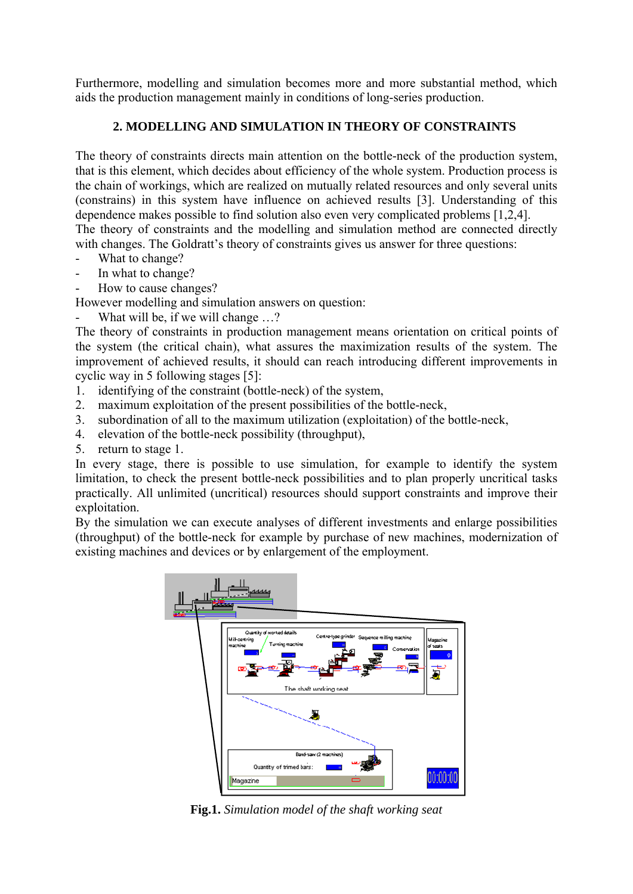Furthermore, modelling and simulation becomes more and more substantial method, which aids the production management mainly in conditions of long-series production.

# **2. MODELLING AND SIMULATION IN THEORY OF CONSTRAINTS**

The theory of constraints directs main attention on the bottle-neck of the production system, that is this element, which decides about efficiency of the whole system. Production process is the chain of workings, which are realized on mutually related resources and only several units (constrains) in this system have influence on achieved results [3]. Understanding of this dependence makes possible to find solution also even very complicated problems [1,2,4]. The theory of constraints and the modelling and simulation method are connected directly

with changes. The Goldratt's theory of constraints gives us answer for three questions:

- What to change?
- In what to change?
- How to cause changes?

However modelling and simulation answers on question:

What will be, if we will change ...?

The theory of constraints in production management means orientation on critical points of the system (the critical chain), what assures the maximization results of the system. The improvement of achieved results, it should can reach introducing different improvements in cyclic way in 5 following stages [5]:

- 1. identifying of the constraint (bottle-neck) of the system,
- 2. maximum exploitation of the present possibilities of the bottle-neck,
- 3. subordination of all to the maximum utilization (exploitation) of the bottle-neck,
- 4. elevation of the bottle-neck possibility (throughput),
- 5. return to stage 1.

In every stage, there is possible to use simulation, for example to identify the system limitation, to check the present bottle-neck possibilities and to plan properly uncritical tasks practically. All unlimited (uncritical) resources should support constraints and improve their exploitation.

By the simulation we can execute analyses of different investments and enlarge possibilities (throughput) of the bottle-neck for example by purchase of new machines, modernization of existing machines and devices or by enlargement of the employment.



**Fig.1.** *Simulation model of the shaft working seat*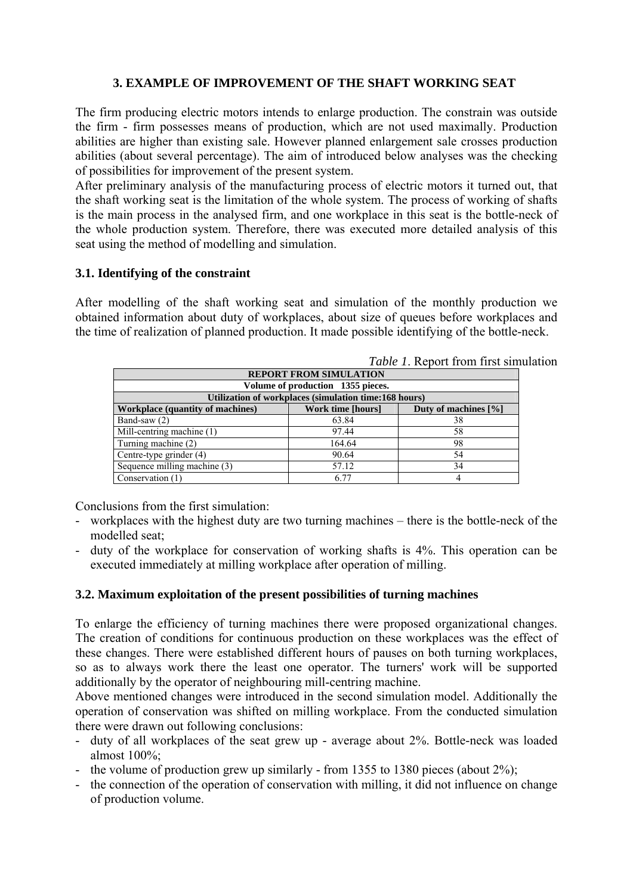# **3. EXAMPLE OF IMPROVEMENT OF THE SHAFT WORKING SEAT**

The firm producing electric motors intends to enlarge production. The constrain was outside the firm - firm possesses means of production, which are not used maximally. Production abilities are higher than existing sale. However planned enlargement sale crosses production abilities (about several percentage). The aim of introduced below analyses was the checking of possibilities for improvement of the present system.

After preliminary analysis of the manufacturing process of electric motors it turned out, that the shaft working seat is the limitation of the whole system. The process of working of shafts is the main process in the analysed firm, and one workplace in this seat is the bottle-neck of the whole production system. Therefore, there was executed more detailed analysis of this seat using the method of modelling and simulation.

#### **3.1. Identifying of the constraint**

After modelling of the shaft working seat and simulation of the monthly production we obtained information about duty of workplaces, about size of queues before workplaces and the time of realization of planned production. It made possible identifying of the bottle-neck.

| <i>Lavie 1. Report Home may smoot</i>                 |                          |                         |
|-------------------------------------------------------|--------------------------|-------------------------|
| <b>REPORT FROM SIMULATION</b>                         |                          |                         |
| Volume of production 1355 pieces.                     |                          |                         |
| Utilization of workplaces (simulation time:168 hours) |                          |                         |
| <b>Workplace (quantity of machines)</b>               | <b>Work time [hours]</b> | Duty of machines $[\%]$ |
| Band-saw (2)                                          | 63.84                    | 38                      |
| $\overline{\text{Mill}}$ -centring machine (1)        | 97.44                    | 58                      |
| Turning machine (2)                                   | 164.64                   | 98                      |
| Centre-type grinder (4)                               | 90.64                    | 54                      |
| Sequence milling machine (3)                          | 57.12                    | 34                      |
| Conservation (1)                                      | 6.77                     |                         |

*Table 1*. Report from first simulation

Conclusions from the first simulation:

- workplaces with the highest duty are two turning machines there is the bottle-neck of the modelled seat;
- duty of the workplace for conservation of working shafts is 4%. This operation can be executed immediately at milling workplace after operation of milling.

#### **3.2. Maximum exploitation of the present possibilities of turning machines**

To enlarge the efficiency of turning machines there were proposed organizational changes. The creation of conditions for continuous production on these workplaces was the effect of these changes. There were established different hours of pauses on both turning workplaces, so as to always work there the least one operator. The turners' work will be supported additionally by the operator of neighbouring mill-centring machine.

Above mentioned changes were introduced in the second simulation model. Additionally the operation of conservation was shifted on milling workplace. From the conducted simulation there were drawn out following conclusions:

- duty of all workplaces of the seat grew up average about 2%. Bottle-neck was loaded almost 100%;
- the volume of production grew up similarly from 1355 to 1380 pieces (about 2%);
- the connection of the operation of conservation with milling, it did not influence on change of production volume.